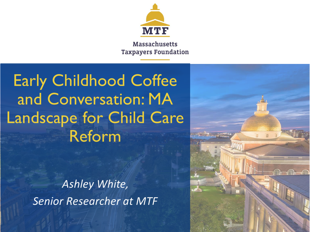

**Massachusetts Taxpayers Foundation** 

# **Early Childhood Coffee** and Conversation: MA **Landscape for Child Care Reform**

Ashley White, **Senior Researcher at MTF** 

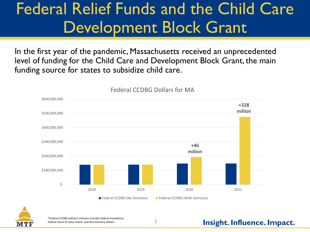## Federal Relief Funds and the Child Care Development Block Grant

In the first year of the pandemic, Massachusetts received an unprecedented level of funding for the Child Care and Development Block Grant, the main funding source for states to subsidize child care.



Federal CCDBG Dollars for MA



\*Federal CCDBG without stimulus includes federal mandatory, federal share of state match, and discretionary dollars.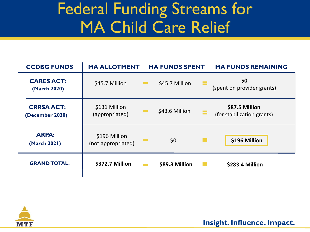# Federal Funding Streams for MA Child Care Relief

| <b>CCDBG FUNDS</b>                   | <b>MA ALLOTMENT</b>                 |                               | <b>MA FUNDS SPENT</b> |  | <b>MA FUNDS REMAINING</b>                    |  |
|--------------------------------------|-------------------------------------|-------------------------------|-----------------------|--|----------------------------------------------|--|
| <b>CARES ACT:</b><br>(March 2020)    | \$45.7 Million                      | $\mathcal{L}(\mathcal{A})$    | \$45.7 Million        |  | \$0<br>(spent on provider grants)            |  |
| <b>CRRSA ACT:</b><br>(December 2020) | \$131 Million<br>(appropriated)     | <b>The Contract of Street</b> | \$43.6 Million        |  | \$87.5 Million<br>(for stabilization grants) |  |
| <b>ARPA:</b><br>(March 2021)         | \$196 Million<br>(not appropriated) | <b>Contract</b>               | \$0                   |  | \$196 Million                                |  |
| <b>GRAND TOTAL:</b>                  | \$372.7 Million                     | <b>The Co</b>                 | \$89.3 Million        |  | \$283.4 Million                              |  |

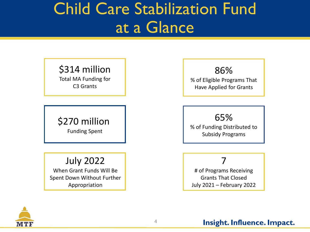### Child Care Stabilization Fund at a Glance

### \$314 million

Total MA Funding for C3 Grants

### \$270 million Funding Spent

### July 2022

When Grant Funds Will Be Spent Down Without Further Appropriation

86% % of Eligible Programs That Have Applied for Grants

### 65%

% of Funding Distributed to Subsidy Programs

### 7

# of Programs Receiving Grants That Closed July 2021 – February 2022

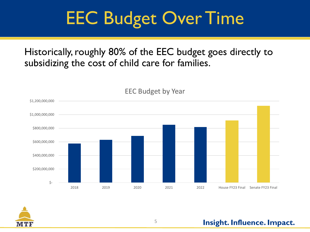# EEC Budget Over Time

### Historically, roughly 80% of the EEC budget goes directly to subsidizing the cost of child care for families.



EEC Budget by Year

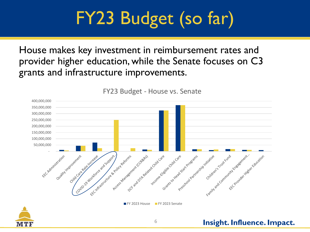# FY23 Budget (so far)

House makes key investment in reimbursement rates and provider higher education, while the Senate focuses on C3 grants and infrastructure improvements.



FY23 Budget - House vs. Senate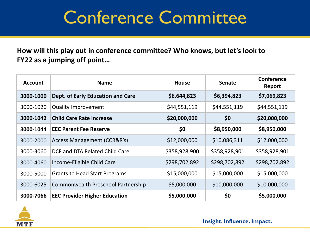# Conference Committee

**How will this play out in conference committee? Who knows, but let's look to FY22 as a jumping off point…** 

| <b>Account</b> | <b>Name</b>                              | <b>House</b>  | <b>Senate</b> | Conference<br>Report |
|----------------|------------------------------------------|---------------|---------------|----------------------|
| 3000-1000      | <b>Dept. of Early Education and Care</b> | \$6,644,823   | \$6,394,823   | \$7,069,823          |
| 3000-1020      | <b>Quality Improvement</b>               | \$44,551,119  | \$44,551,119  | \$44,551,119         |
| 3000-1042      | <b>Child Care Rate Increase</b>          | \$20,000,000  | \$0           | \$20,000,000         |
| 3000-1044      | <b>EEC Parent Fee Reserve</b>            | \$0           | \$8,950,000   | \$8,950,000          |
| 3000-2000      | Access Management (CCR&R's)              | \$12,000,000  | \$10,086,311  | \$12,000,000         |
| 3000-3060      | DCF and DTA Related Child Care           | \$358,928,900 | \$358,928,901 | \$358,928,901        |
| 3000-4060      | Income-Eligible Child Care               | \$298,702,892 | \$298,702,892 | \$298,702,892        |
| 3000-5000      | <b>Grants to Head Start Programs</b>     | \$15,000,000  | \$15,000,000  | \$15,000,000         |
| 3000-6025      | Commonwealth Preschool Partnership       | \$5,000,000   | \$10,000,000  | \$10,000,000         |
| 3000-7066      | <b>EEC Provider Higher Education</b>     | \$5,000,000   | \$0           | \$5,000,000          |

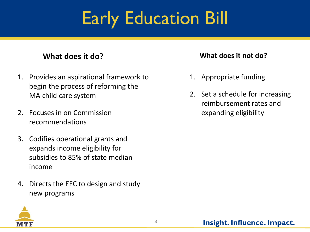# Early Education Bill

- 1. Provides an aspirational framework to begin the process of reforming the MA child care system
- 2. Focuses in on Commission recommendations
- 3. Codifies operational grants and expands income eligibility for subsidies to 85% of state median income
- 4. Directs the EEC to design and study new programs

### **What does it do? What does it not do?**

- 1. Appropriate funding
- 2. Set a schedule for increasing reimbursement rates and expanding eligibility

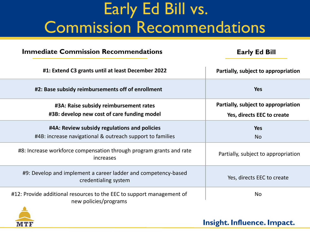# Early Ed Bill vs. Commission Recommendations

### **Immediate Commission Recommendations**

### **Early Ed Bill**

| #1: Extend C3 grants until at least December 2022                                                         | Partially, subject to appropriation                               |  |  |
|-----------------------------------------------------------------------------------------------------------|-------------------------------------------------------------------|--|--|
| #2: Base subsidy reimbursements off of enrollment                                                         | <b>Yes</b>                                                        |  |  |
| #3A: Raise subsidy reimbursement rates<br>#3B: develop new cost of care funding model                     | Partially, subject to appropriation<br>Yes, directs EEC to create |  |  |
| #4A: Review subsidy regulations and policies<br>#4B: increase navigational & outreach support to families | <b>Yes</b><br><b>No</b>                                           |  |  |
| #8: Increase workforce compensation through program grants and rate<br>increases                          | Partially, subject to appropriation                               |  |  |
| #9: Develop and implement a career ladder and competency-based<br>credentialing system                    | Yes, directs EEC to create                                        |  |  |
| #12: Provide additional resources to the EEC to support management of<br>new policies/programs            | <b>No</b>                                                         |  |  |

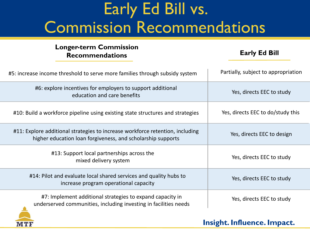# Early Ed Bill vs. Commission Recommendations

#### **Longer-term Commission Recommendations**

**MT** 

### **Early Ed Bill**

| #5: increase income threshold to serve more families through subsidy system                                                                  | Partially, subject to appropriation |  |
|----------------------------------------------------------------------------------------------------------------------------------------------|-------------------------------------|--|
| #6: explore incentives for employers to support additional<br>education and care benefits                                                    | Yes, directs EEC to study           |  |
| #10: Build a workforce pipeline using existing state structures and strategies                                                               | Yes, directs EEC to do/study this   |  |
| #11: Explore additional strategies to increase workforce retention, including<br>higher education loan forgiveness, and scholarship supports | Yes, directs EEC to design          |  |
| #13: Support local partnerships across the<br>mixed delivery system                                                                          | Yes, directs EEC to study           |  |
| #14: Pilot and evaluate local shared services and quality hubs to<br>increase program operational capacity                                   | Yes, directs EEC to study           |  |
| #7: Implement additional strategies to expand capacity in<br>underserved communities, including investing in facilities needs                | Yes, directs EEC to study           |  |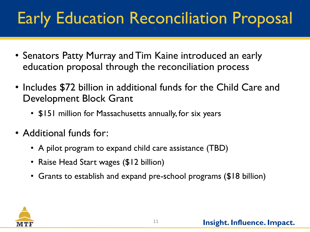# Early Education Reconciliation Proposal

- Senators Patty Murray and Tim Kaine introduced an early education proposal through the reconciliation process
- Includes \$72 billion in additional funds for the Child Care and Development Block Grant
	- \$151 million for Massachusetts annually, for six years
- Additional funds for:
	- A pilot program to expand child care assistance (TBD)
	- Raise Head Start wages (\$12 billion)
	- Grants to establish and expand pre-school programs (\$18 billion)